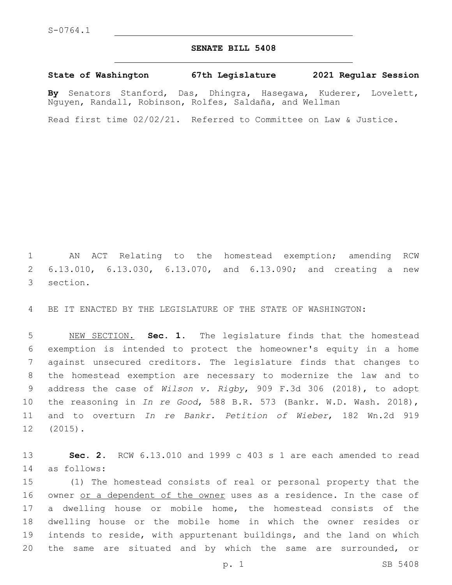## **SENATE BILL 5408**

## **State of Washington 67th Legislature 2021 Regular Session**

**By** Senators Stanford, Das, Dhingra, Hasegawa, Kuderer, Lovelett, Nguyen, Randall, Robinson, Rolfes, Saldaña, and Wellman

Read first time 02/02/21. Referred to Committee on Law & Justice.

1 AN ACT Relating to the homestead exemption; amending RCW 2 6.13.010, 6.13.030, 6.13.070, and 6.13.090; and creating a new 3 section.

4 BE IT ENACTED BY THE LEGISLATURE OF THE STATE OF WASHINGTON:

 NEW SECTION. **Sec. 1.** The legislature finds that the homestead exemption is intended to protect the homeowner's equity in a home against unsecured creditors. The legislature finds that changes to the homestead exemption are necessary to modernize the law and to address the case of *Wilson v. Rigby*, 909 F.3d 306 (2018), to adopt the reasoning in *In re Good*, 588 B.R. 573 (Bankr. W.D. Wash. 2018), and to overturn *In re Bankr. Petition of Wieber*, 182 Wn.2d 919 12 (2015).

13 **Sec. 2.** RCW 6.13.010 and 1999 c 403 s 1 are each amended to read as follows:14

 (1) The homestead consists of real or personal property that the 16 owner or a dependent of the owner uses as a residence. In the case of a dwelling house or mobile home, the homestead consists of the dwelling house or the mobile home in which the owner resides or intends to reside, with appurtenant buildings, and the land on which 20 the same are situated and by which the same are surrounded, or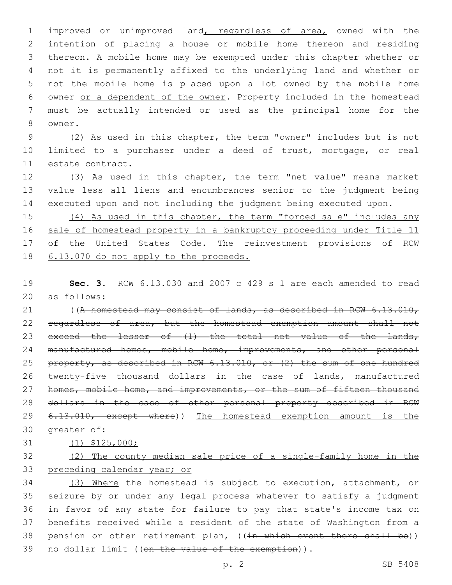improved or unimproved land, regardless of area, owned with the intention of placing a house or mobile home thereon and residing thereon. A mobile home may be exempted under this chapter whether or not it is permanently affixed to the underlying land and whether or not the mobile home is placed upon a lot owned by the mobile home owner or a dependent of the owner. Property included in the homestead must be actually intended or used as the principal home for the 8 owner.

 (2) As used in this chapter, the term "owner" includes but is not limited to a purchaser under a deed of trust, mortgage, or real 11 estate contract.

 (3) As used in this chapter, the term "net value" means market value less all liens and encumbrances senior to the judgment being executed upon and not including the judgment being executed upon.

15 (4) As used in this chapter, the term "forced sale" includes any sale of homestead property in a bankruptcy proceeding under Title 11 17 of the United States Code. The reinvestment provisions of RCW 6.13.070 do not apply to the proceeds.

 **Sec. 3.** RCW 6.13.030 and 2007 c 429 s 1 are each amended to read 20 as follows:

21 ((A homestead may consist of lands, as described in RCW 6.13.010, regardless of area, but the homestead exemption amount shall not 23 exceed the lesser of  $(1)$  the total net value of the lands, 24 manufactured homes, mobile home, improvements, and other personal property, as described in RCW 6.13.010, or (2) the sum of one hundred 26 twenty-five thousand dollars in the case of lands, manufactured 27 homes, mobile home, and improvements, or the sum of fifteen thousand dollars in the case of other personal property described in RCW 29 <del>6.13.010, except where</del>)) The homestead exemption amount is the greater of:

(1) \$125,000;

## (2) The county median sale price of a single-family home in the preceding calendar year; or

 (3) Where the homestead is subject to execution, attachment, or seizure by or under any legal process whatever to satisfy a judgment in favor of any state for failure to pay that state's income tax on benefits received while a resident of the state of Washington from a 38 pension or other retirement plan, ((in which event there shall be)) 39 no dollar limit ((on the value of the exemption)).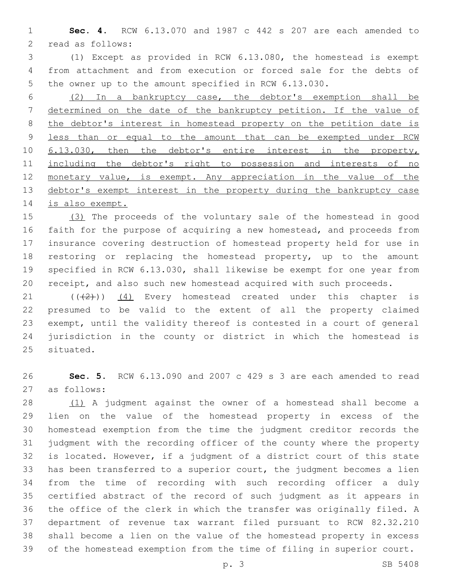**Sec. 4.** RCW 6.13.070 and 1987 c 442 s 207 are each amended to 2 read as follows:

 (1) Except as provided in RCW 6.13.080, the homestead is exempt from attachment and from execution or forced sale for the debts of the owner up to the amount specified in RCW 6.13.030.

 (2) In a bankruptcy case, the debtor's exemption shall be determined on the date of the bankruptcy petition. If the value of 8 the debtor's interest in homestead property on the petition date is less than or equal to the amount that can be exempted under RCW 6.13.030, then the debtor's entire interest in the property, 11 including the debtor's right to possession and interests of no 12 monetary value, is exempt. Any appreciation in the value of the 13 debtor's exempt interest in the property during the bankruptcy case is also exempt.

 (3) The proceeds of the voluntary sale of the homestead in good faith for the purpose of acquiring a new homestead, and proceeds from insurance covering destruction of homestead property held for use in restoring or replacing the homestead property, up to the amount specified in RCW 6.13.030, shall likewise be exempt for one year from receipt, and also such new homestead acquired with such proceeds.

 $(1)$  ( $(1)$ ) (4) Every homestead created under this chapter is presumed to be valid to the extent of all the property claimed exempt, until the validity thereof is contested in a court of general jurisdiction in the county or district in which the homestead is 25 situated.

 **Sec. 5.** RCW 6.13.090 and 2007 c 429 s 3 are each amended to read as follows:27

 (1) A judgment against the owner of a homestead shall become a lien on the value of the homestead property in excess of the homestead exemption from the time the judgment creditor records the judgment with the recording officer of the county where the property is located. However, if a judgment of a district court of this state has been transferred to a superior court, the judgment becomes a lien from the time of recording with such recording officer a duly certified abstract of the record of such judgment as it appears in the office of the clerk in which the transfer was originally filed. A department of revenue tax warrant filed pursuant to RCW 82.32.210 shall become a lien on the value of the homestead property in excess of the homestead exemption from the time of filing in superior court.